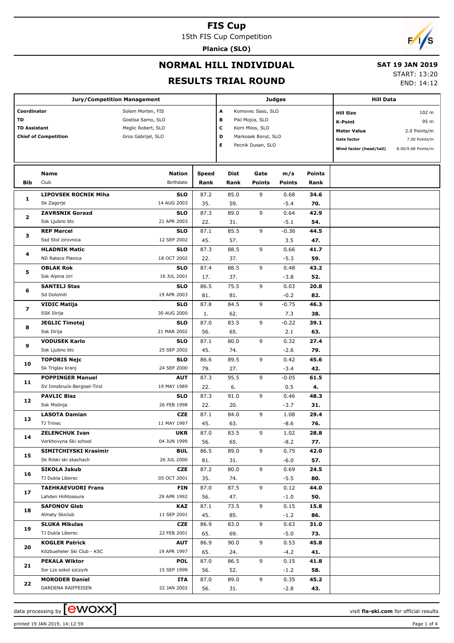15th FIS Cup Competition

**Planica (SLO)**

# $\sqrt{2}$

## **NORMAL HILL INDIVIDUAL**

#### **SAT 19 JAN 2019**

#### **RESULTS TRIAL ROUND**

START: 13:20

END: 14:12

|                     | <b>Jury/Competition Management</b> |                           |       | Judges |                     | <b>Hill Data</b> |               |                         |                    |  |
|---------------------|------------------------------------|---------------------------|-------|--------|---------------------|------------------|---------------|-------------------------|--------------------|--|
|                     |                                    | Solem Morten, FIS         |       | A      | Komovec Saso, SLO   |                  |               | <b>Hill Size</b>        | 102 m              |  |
| Coordinator<br>TD   |                                    | Gostisa Samo, SLO         |       | в      | Pikl Mojca, SLO     |                  |               | <b>K-Point</b>          | 95 m               |  |
| <b>TD Assistant</b> |                                    | Meglic Robert, SLO        |       | c      | Kern Milos, SLO     |                  |               | <b>Meter Value</b>      | 2.0 Points/m       |  |
|                     | <b>Chief of Competition</b>        | Gros Gabrijel, SLO        |       | D      | Markosek Borut, SLO |                  |               | <b>Gate factor</b>      | 7.00 Points/m      |  |
|                     |                                    |                           |       | Е      | Pecnik Dusan, SLO   |                  |               | Wind factor (head/tail) | 8.00/9.68 Points/m |  |
|                     |                                    |                           |       |        |                     |                  |               |                         |                    |  |
|                     |                                    |                           |       |        |                     |                  |               |                         |                    |  |
| Name                |                                    | <b>Nation</b>             | Speed | Dist   | Gate                | m/s              | <b>Points</b> |                         |                    |  |
| Bib                 | Club                               | Birthdate                 | Rank  | Rank   | Points              | <b>Points</b>    | Rank          |                         |                    |  |
|                     | <b>LIPOVSEK ROCNIK Miha</b>        | <b>SLO</b>                | 87.2  | 85.0   | 9                   | 0.68             | 34.6          |                         |                    |  |
| 1                   | Sk Zagorje                         | 14 AUG 2003               | 35.   | 59.    |                     | $-5.4$           | 70.           |                         |                    |  |
|                     | <b>ZAVRSNIK Gorazd</b>             | <b>SLO</b>                | 87.3  | 89.0   | 9                   | 0.64             | 42.9          |                         |                    |  |
| $\mathbf{2}$        | Ssk Ljubno btc                     | 21 APR 2003               | 22.   | 31.    |                     | $-5.1$           | 54.           |                         |                    |  |
|                     | <b>REP Marcel</b>                  | <b>SLO</b>                | 87.1  | 85.5   | 9                   | $-0.36$          | 44.5          |                         |                    |  |
| з                   | Ssd Stol zirovnica                 | 12 SEP 2002               | 45.   | 57.    |                     | 3.5              | 47.           |                         |                    |  |
|                     | <b>HLADNIK Matic</b>               | <b>SLO</b>                | 87.3  | 88.5   | 9                   | 0.66             | 41.7          |                         |                    |  |
| 4                   | ND Ratece Planica                  | 18 OCT 2002               | 22.   | 37.    |                     | $-5.3$           | 59.           |                         |                    |  |
|                     | <b>OBLAK Rok</b>                   | <b>SLO</b>                | 87.4  | 88.5   | 9                   | 0.48             | 43.2          |                         |                    |  |
| 5                   | Ssk Alpina ziri                    | 16 JUL 2001               | 17.   | 37.    |                     | $-3.8$           | 52.           |                         |                    |  |
|                     | <b>SANTELJ Stas</b>                | <b>SLO</b>                | 86.5  | 75.5   | 9                   | 0.03             | 20.8          |                         |                    |  |
| 6                   | Sd Dolomiti                        | 19 APR 2003               | 81.   | 81.    |                     | $-0.2$           | 82.           |                         |                    |  |
|                     | <b>VIDIC Matija</b>                | <b>SLO</b>                | 87.8  | 84.5   | 9                   | $-0.75$          | 46.3          |                         |                    |  |
| 7                   | SSK Ilirija                        | 30 AUG 2000               | 1.    | 62.    |                     | 7.3              | 38.           |                         |                    |  |
|                     | <b>JEGLIC Timotej</b>              | <b>SLO</b>                | 87.0  | 83.5   | 9                   | $-0.22$          | 39.1          |                         |                    |  |
| 8                   | Ssk Ilirija                        | 21 MAR 2002               | 56.   | 65.    |                     | 2.1              | 63.           |                         |                    |  |
| 9<br>10             | <b>VODUSEK Karlo</b>               | <b>SLO</b>                | 87.1  | 80.0   | 9                   | 0.32             | 27.4          |                         |                    |  |
|                     | Ssk Ljubno btc                     | 25 SEP 2002               | 45.   | 74.    |                     | $-2.6$           | 79.           |                         |                    |  |
|                     | <b>TOPORIS Nejc</b>                | <b>SLO</b>                | 86.6  | 89.5   | 9                   | 0.42             | 45.6          |                         |                    |  |
|                     | Sk Triglav kranj                   | 24 SEP 2000               | 79.   | 27.    |                     | -3.4             | 42.           |                         |                    |  |
|                     | <b>POPPINGER Manuel</b>            | <b>AUT</b>                | 87.3  | 95.5   | 9                   | $-0.05$          | 61.5          |                         |                    |  |
| 11                  | SV Innsbruck-Bergisel-Tirol        | 19 MAY 1989               | 22.   | 6.     |                     | 0.5              | 4.            |                         |                    |  |
|                     | <b>PAVLIC Blaz</b>                 | <b>SLO</b>                | 87.3  | 91.0   | 9                   | 0.46             | 48.3          |                         |                    |  |
| 12                  | Ssk Mislinja                       | 26 FEB 1998               | 22.   | 20.    |                     | $-3.7$           | 31.           |                         |                    |  |
|                     | <b>LASOTA Damian</b>               | <b>CZE</b>                | 87.1  | 84.0   | 9                   | 1.08             | 29.4          |                         |                    |  |
| 13                  | TJ Trinec                          | 11 MAY 1997               | 45.   | 63.    |                     | $-8.6$           | 76.           |                         |                    |  |
|                     | <b>ZELENCHUK Ivan</b>              | <b>UKR</b>                | 87.0  | 83.5   | 9                   | 1.02             |               |                         |                    |  |
| 14                  | Verkhovyna Ski school              | 04 JUN 1999               | 56.   | 65.    |                     | $-8.2$           | 28.8<br>77.   |                         |                    |  |
|                     | SIMITCHIYSKI Krasimir              | <b>BUL</b>                | 86.5  | 89.0   | 9                   | 0.75             | 42.0          |                         |                    |  |
| 15                  | Sk Rilski ski skachach             | 26 JUL 2000               | 81.   | 31.    |                     | -6.0             | 57.           |                         |                    |  |
|                     | SIKOLA Jakub                       | CZE                       | 87.2  | 80.0   | 9                   | 0.69             | 24.5          |                         |                    |  |
| 16                  | TJ Dukla Liberec                   | 05 OCT 2001               | 35.   | 74.    |                     | $-5.5$           | 80.           |                         |                    |  |
|                     | <b>TAEHKAEVUORI Frans</b>          |                           |       |        |                     |                  |               |                         |                    |  |
| 17                  | Lahden Hiihtoseura                 | <b>FIN</b><br>29 APR 1992 | 87.0  | 87.5   | 9                   | 0.12             | 44.0          |                         |                    |  |
|                     |                                    |                           | 56.   | 47.    |                     | $-1.0$           | 50.           |                         |                    |  |
| 18                  | <b>SAFONOV Gleb</b>                | <b>KAZ</b>                | 87.1  | 73.5   | 9                   | 0.15             | 15.8          |                         |                    |  |
|                     | Almaty Skiclub                     | 11 SEP 2001               | 45.   | 85.    |                     | $-1.2$           | 86.           |                         |                    |  |
| 19                  | <b>SLUKA Mikulas</b>               | CZE                       | 86.9  | 83.0   | 9                   | 0.63             | 31.0          |                         |                    |  |
|                     | TJ Dukla Liberec                   | 22 FEB 2001               | 65.   | 69.    |                     | $-5.0$           | 73.           |                         |                    |  |
| 20                  | <b>KOGLER Patrick</b>              | <b>AUT</b>                | 86.9  | 90.0   | 9                   | 0.53             | 45.8          |                         |                    |  |
|                     | Kitzbueheler Ski Club - KSC        | 19 APR 1997               | 65.   | 24.    |                     | $-4.2$           | 41.           |                         |                    |  |
| 21                  | <b>PEKALA Wiktor</b>               | <b>POL</b>                | 87.0  | 86.5   | 9                   | 0.15             | 41.8          |                         |                    |  |
|                     | Ssr Lzs sokol szczyrk              | 15 SEP 1999               | 56.   | 52.    |                     | $-1.2$           | 58.           |                         |                    |  |
| 22                  | <b>MORODER Daniel</b>              | ITA                       | 87.0  | 89.0   | 9                   | 0.35             | 45.2          |                         |                    |  |
|                     | GARDENA RAIFFEISEN                 | 22 JAN 2002               | 56.   | 31.    |                     | $-2.8$           | 43.           |                         |                    |  |



printed 19 JAN 2019, 14:12:59 Page 1 of 4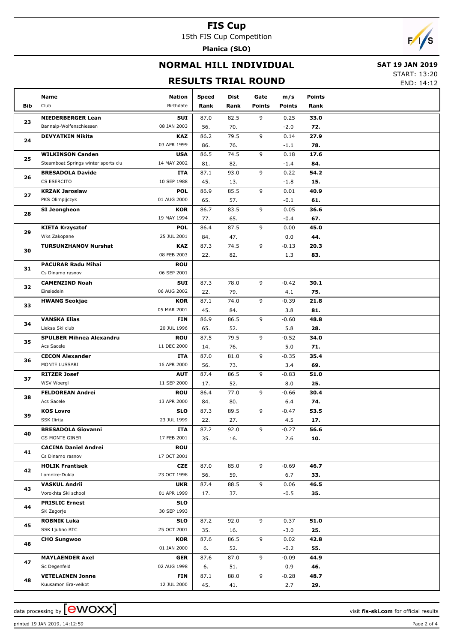15th FIS Cup Competition

**Planica (SLO)**

# $\sqrt{2}$

## **NORMAL HILL INDIVIDUAL**

### **SAT 19 JAN 2019**

## **RESULTS TRIAL ROUND**

START: 13:20 END: 14:12

|     | Name<br>Club                                        | <b>Nation</b><br>Birthdate | Speed       | Dist        | Gate          | m/s            | Points      |  |
|-----|-----------------------------------------------------|----------------------------|-------------|-------------|---------------|----------------|-------------|--|
| Bib |                                                     |                            | Rank        | Rank        | <b>Points</b> | <b>Points</b>  | Rank        |  |
| 23  | <b>NIEDERBERGER Lean</b><br>Bannalp-Wolfenschiessen | SUI<br>08 JAN 2003         | 87.0<br>56. | 82.5<br>70. | 9             | 0.25<br>$-2.0$ | 33.0<br>72. |  |
|     | <b>DEVYATKIN Nikita</b>                             | KAZ                        | 86.2        | 79.5        | 9             | 0.14           | 27.9        |  |
| 24  |                                                     | 03 APR 1999                | 86.         | 76.         |               | $-1.1$         | 78.         |  |
| 25  | <b>WILKINSON Canden</b>                             | <b>USA</b>                 | 86.5        | 74.5        | 9             | 0.18           | 17.6        |  |
|     | Steamboat Springs winter sports clu                 | 14 MAY 2002                | 81.         | 82.         |               | $-1.4$         | 84.         |  |
| 26  | <b>BRESADOLA Davide</b>                             | <b>ITA</b>                 | 87.1        | 93.0        | 9             | 0.22           | 54.2        |  |
|     | CS ESERCITO                                         | 10 SEP 1988                | 45.         | 13.         |               | $-1.8$         | 15.         |  |
| 27  | <b>KRZAK Jaroslaw</b>                               | <b>POL</b>                 | 86.9        | 85.5        | 9             | 0.01           | 40.9        |  |
|     | PKS Olimpijczyk                                     | 01 AUG 2000                | 65.         | 57.         |               | $-0.1$         | 61.         |  |
| 28  | SI Jeongheon                                        | <b>KOR</b>                 | 86.7        | 83.5        | 9             | 0.05           | 36.6        |  |
|     |                                                     | 19 MAY 1994                | 77.         | 65.         |               | $-0.4$         | 67.         |  |
| 29  | <b>KIETA Krzysztof</b>                              | <b>POL</b>                 | 86.4        | 87.5        | 9             | 0.00           | 45.0        |  |
|     | Wks Zakopane                                        | 25 JUL 2001                | 84.         | 47.         |               | 0.0            | 44.         |  |
| 30  | <b>TURSUNZHANOV Nurshat</b>                         | KAZ                        | 87.3        | 74.5        | 9             | $-0.13$        | 20.3        |  |
|     |                                                     | 08 FEB 2003                | 22.         | 82.         |               | 1.3            | 83.         |  |
| 31  | <b>PACURAR Radu Mihai</b>                           | <b>ROU</b>                 |             |             |               |                |             |  |
|     | Cs Dinamo rasnov                                    | 06 SEP 2001                |             |             |               |                |             |  |
| 32  | <b>CAMENZIND Noah</b>                               | SUI<br>06 AUG 2002         | 87.3        | 78.0        | 9             | $-0.42$        | 30.1        |  |
|     | Einsiedeln<br><b>HWANG Seokjae</b>                  | <b>KOR</b>                 | 22.<br>87.1 | 79.<br>74.0 | 9             | 4.1<br>$-0.39$ | 75.<br>21.8 |  |
| 33  |                                                     | 05 MAR 2001                | 45.         | 84.         |               | 3.8            | 81.         |  |
| 34  | <b>VANSKA Elias</b>                                 | <b>FIN</b>                 | 86.9        | 86.5        | 9             | $-0.60$        | 48.8        |  |
|     | Lieksa Ski club                                     | 20 JUL 1996                | 65.         | 52.         |               | 5.8            | 28.         |  |
|     | <b>SPULBER Mihnea Alexandru</b>                     | <b>ROU</b>                 | 87.5        | 79.5        | 9             | $-0.52$        | 34.0        |  |
| 35  | Acs Sacele                                          | 11 DEC 2000                | 14.         | 76.         |               | 5.0            | 71.         |  |
|     | <b>CECON Alexander</b>                              | ITA                        | 87.0        | 81.0        | 9             | $-0.35$        | 35.4        |  |
| 36  | MONTE LUSSARI                                       | 16 APR 2000                | 56.         | 73.         |               | 3.4            | 69.         |  |
|     | <b>RITZER Josef</b>                                 | <b>AUT</b>                 | 87.4        | 86.5        | 9             | $-0.83$        | 51.0        |  |
| 37  | WSV Woergl                                          | 11 SEP 2000                | 17.         | 52.         |               | 8.0            | 25.         |  |
|     | <b>FELDOREAN Andrei</b>                             | <b>ROU</b>                 | 86.4        | 77.0        | 9             | $-0.66$        | 30.4        |  |
| 38  | Acs Sacele                                          | 13 APR 2000                | 84.         | 80.         |               | 6.4            | 74.         |  |
|     | <b>KOS Lovro</b>                                    | <b>SLO</b>                 | 87.3        | 89.5        | 9             | $-0.47$        | 53.5        |  |
| 39  | SSK Ilirija                                         | 23 JUL 1999                | 22.         | 27.         |               | 4.5            | 17.         |  |
| 40  | <b>BRESADOLA Giovanni</b>                           | ITA                        | 87.2        | 92.0        | 9             | -0.27          | 56.6        |  |
|     | <b>GS MONTE GINER</b>                               | 17 FEB 2001                | 35.         | 16.         |               | 2.6            | 10.         |  |
| 41  | <b>CACINA Daniel Andrei</b>                         | <b>ROU</b>                 |             |             |               |                |             |  |
|     | Cs Dinamo rasnov                                    | 17 OCT 2001                |             |             |               |                |             |  |
| 42  | <b>HOLIK Frantisek</b>                              | CZE                        | 87.0        | 85.0        | 9             | $-0.69$        | 46.7        |  |
|     | Lomnice-Dukla                                       | 23 OCT 1998                | 56.         | 59.         |               | 6.7            | 33.         |  |
| 43  | <b>VASKUL Andrii</b>                                | <b>UKR</b>                 | 87.4        | 88.5        | 9             | 0.06           | 46.5        |  |
|     | Vorokhta Ski school                                 | 01 APR 1999                | 17.         | 37.         |               | $-0.5$         | 35.         |  |
| 44  | <b>PRISLIC Ernest</b>                               | <b>SLO</b>                 |             |             |               |                |             |  |
|     | SK Zagorje                                          | 30 SEP 1993                |             |             |               |                |             |  |
| 45  | <b>ROBNIK Luka</b><br>SSK Ljubno BTC                | <b>SLO</b><br>25 OCT 2001  | 87.2        | 92.0        | 9             | 0.37           | 51.0        |  |
|     | <b>CHO Sungwoo</b>                                  | KOR                        | 35.<br>87.6 | 16.<br>86.5 | 9             | $-3.0$<br>0.02 | 25.<br>42.8 |  |
| 46  |                                                     | 01 JAN 2000                | 6.          | 52.         |               | $-0.2$         | 55.         |  |
|     | <b>MAYLAENDER Axel</b>                              | GER                        | 87.6        | 87.0        | 9             | -0.09          | 44.9        |  |
| 47  | Sc Degenfeld                                        | 02 AUG 1998                | 6.          | 51.         |               | 0.9            | 46.         |  |
|     | <b>VETELAINEN Jonne</b>                             | <b>FIN</b>                 | 87.1        | 88.0        | 9             | $-0.28$        | 48.7        |  |
| 48  | Kuusamon Era-veikot                                 | 12 JUL 2000                | 45.         | 41.         |               | 2.7            | 29.         |  |
|     |                                                     |                            |             |             |               |                |             |  |

data processing by **CWOXX**  $\blacksquare$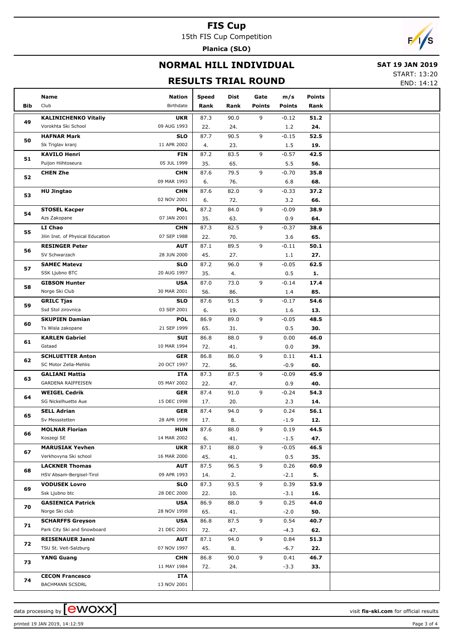15th FIS Cup Competition

**Planica (SLO)**

# $F/1/s$

## **NORMAL HILL INDIVIDUAL**

### **SAT 19 JAN 2019**

## **RESULTS TRIAL ROUND**

START: 13:20

END: 14:12

|     | Name                                        | Nation                    | <b>Speed</b> | Dist       | Gate          | m/s            | Points      |  |
|-----|---------------------------------------------|---------------------------|--------------|------------|---------------|----------------|-------------|--|
| Bib | Club                                        | Birthdate                 | Rank         | Rank       | <b>Points</b> | <b>Points</b>  | Rank        |  |
|     | <b>KALINICHENKO Vitaliy</b>                 | <b>UKR</b>                | 87.3         | 90.0       | 9             | $-0.12$        | 51.2        |  |
| 49  | Vorokhta Ski School                         | 09 AUG 1993               | 22.          | 24.        |               | 1.2            | 24.         |  |
|     | <b>HAFNAR Mark</b>                          | <b>SLO</b>                | 87.7         | 90.5       | 9             | $-0.15$        | 52.5        |  |
| 50  | Sk Triglav kranj                            | 11 APR 2002               | 4.           | 23.        |               | 1.5            | 19.         |  |
|     | <b>KAVILO Henri</b>                         | <b>FIN</b>                | 87.2         | 83.5       | 9             | $-0.57$        | 42.5        |  |
| 51  | Puijon Hiihtoseura                          | 05 JUL 1999               | 35.          | 65.        |               | 5.5            | 56.         |  |
|     | <b>CHEN Zhe</b>                             | <b>CHN</b>                | 87.6         | 79.5       | 9             | $-0.70$        | 35.8        |  |
| 52  |                                             | 09 MAR 1993               | 6.           | 76.        |               | 6.8            | 68.         |  |
| 53  | <b>HU Jingtao</b>                           | <b>CHN</b>                | 87.6         | 82.0       | 9             | $-0.33$        | 37.2        |  |
|     |                                             | 02 NOV 2001               | 6.           | 72.        |               | 3.2            | 66.         |  |
| 54  | <b>STOSEL Kacper</b>                        | <b>POL</b>                | 87.2         | 84.0       | 9             | $-0.09$        | 38.9        |  |
|     | Azs Zakopane                                | 07 JAN 2001               | 35.          | 63.        |               | 0.9            | 64.         |  |
| 55  | LI Chao                                     | <b>CHN</b>                | 87.3         | 82.5       | 9             | $-0.37$        | 38.6        |  |
|     | Jilin Inst. of Physical Education           | 07 SEP 1988               | 22.          | 70.        |               | 3.6            | 65.         |  |
| 56  | <b>RESINGER Peter</b>                       | <b>AUT</b>                | 87.1         | 89.5       | 9             | $-0.11$        | 50.1        |  |
|     | SV Schwarzach                               | 28 JUN 2000               | 45.          | 27.        |               | 1.1            | 27.         |  |
| 57  | <b>SAMEC Matevz</b>                         | <b>SLO</b>                | 87.2         | 96.0       | 9             | $-0.05$        | 62.5        |  |
|     | SSK Ljubno BTC                              | 20 AUG 1997               | 35.          | 4.         |               | 0.5            | 1.          |  |
| 58  | <b>GIBSON Hunter</b>                        | <b>USA</b>                | 87.0         | 73.0       | 9             | $-0.14$        | 17.4        |  |
|     | Norge Ski Club                              | 30 MAR 2001               | 56.          | 86.        |               | 1.4            | 85.         |  |
| 59  | <b>GRILC Tjas</b>                           | <b>SLO</b>                | 87.6         | 91.5       | 9             | $-0.17$        | 54.6        |  |
|     | Ssd Stol zirovnica                          | 03 SEP 2001               | 6.           | 19.        |               | 1.6            | 13.         |  |
| 60  | <b>SKUPIEN Damian</b>                       | <b>POL</b>                | 86.9         | 89.0       | 9             | $-0.05$        | 48.5        |  |
|     | Ts Wisla zakopane                           | 21 SEP 1999               | 65.          | 31.        |               | 0.5            | 30.         |  |
| 61  | <b>KARLEN Gabriel</b>                       | SUI                       | 86.8         | 88.0       | 9             | 0.00           | 46.0        |  |
|     | Gstaad                                      | 10 MAR 1994               | 72.          | 41.        |               | 0.0            | 39.         |  |
| 62  | <b>SCHLUETTER Anton</b>                     | <b>GER</b>                | 86.8         | 86.0       | 9             | 0.11           | 41.1        |  |
|     | SC Motor Zella-Mehlis                       | 20 OCT 1997               | 72.          | 56.        |               | $-0.9$         | 60.         |  |
| 63  | <b>GALIANI Mattia</b>                       | ITA                       | 87.3         | 87.5       | 9             | $-0.09$        | 45.9        |  |
|     | GARDENA RAIFFEISEN                          | 05 MAY 2002               | 22.          | 47.        |               | 0.9            | 40.         |  |
| 64  | <b>WEIGEL Cedrik</b><br>SG Nickelhuette Aue | <b>GER</b>                | 87.4         | 91.0       | 9             | $-0.24$        | 54.3        |  |
|     |                                             | 15 DEC 1998               | 17.          | 20.        |               | 2.3            | 14.         |  |
| 65  | <b>SELL Adrian</b><br>Sv Messstetten        | <b>GER</b><br>28 APR 1998 | 87.4         | 94.0       | 9             | 0.24           | 56.1        |  |
|     |                                             | <b>HUN</b>                | 17.          | 8.<br>88.0 | 9             | $-1.9$<br>0.19 | 12.<br>44.5 |  |
| 66  | <b>MOLNAR Florian</b><br>Koszegi SE         | 14 MAR 2002               | 87.6<br>6.   | 41.        |               | $-1.5$         | 47.         |  |
|     | <b>MARUSIAK Yevhen</b>                      | <b>UKR</b>                | 87.1         | 88.0       | 9             | $-0.05$        | 46.5        |  |
| 67  | Verkhovyna Ski school                       | 16 MAR 2000               | 45.          | 41.        |               | 0.5            | 35.         |  |
|     | <b>LACKNER Thomas</b>                       | <b>AUT</b>                | 87.5         | 96.5       | 9             | 0.26           | 60.9        |  |
| 68  | HSV Absam-Bergisel-Tirol                    | 09 APR 1993               | 14.          | 2.         |               | $-2.1$         | 5.          |  |
|     | <b>VODUSEK Lovro</b>                        | <b>SLO</b>                | 87.3         | 93.5       | 9             | 0.39           | 53.9        |  |
| 69  | Ssk Ljubno btc                              | 28 DEC 2000               | 22.          | 10.        |               | $-3.1$         | 16.         |  |
|     | <b>GASIENICA Patrick</b>                    | <b>USA</b>                | 86.9         | 88.0       | 9             | 0.25           | 44.0        |  |
| 70  | Norge Ski club                              | 28 NOV 1998               | 65.          | 41.        |               | $-2.0$         | 50.         |  |
|     | <b>SCHARFFS Greyson</b>                     | <b>USA</b>                | 86.8         | 87.5       | 9             | 0.54           | 40.7        |  |
| 71  | Park City Ski and Snowboard                 | 21 DEC 2001               | 72.          | 47.        |               | $-4.3$         | 62.         |  |
|     | <b>REISENAUER Janni</b>                     | <b>AUT</b>                | 87.1         | 94.0       | 9             | 0.84           | 51.3        |  |
| 72  | TSU St. Veit-Salzburg                       | 07 NOV 1997               | 45.          | 8.         |               | $-6.7$         | 22.         |  |
|     | <b>YANG Guang</b>                           | <b>CHN</b>                | 86.8         | 90.0       | 9             | 0.41           | 46.7        |  |
| 73  |                                             | 11 MAY 1984               | 72.          | 24.        |               | $-3.3$         | 33.         |  |
|     | <b>CECON Francesco</b>                      | ITA                       |              |            |               |                |             |  |
| 74  | <b>BACHMANN SCSDRL</b>                      | 13 NOV 2001               |              |            |               |                |             |  |

printed 19 JAN 2019, 14:12:59 Page 3 of 4

data processing by **CWOXX** and  $\overline{C}$  and  $\overline{C}$  and  $\overline{C}$  and  $\overline{C}$  and  $\overline{C}$  and  $\overline{C}$  and  $\overline{C}$  and  $\overline{C}$  and  $\overline{C}$  and  $\overline{C}$  and  $\overline{C}$  and  $\overline{C}$  and  $\overline{C}$  and  $\overline{C}$  and  $\overline{C}$